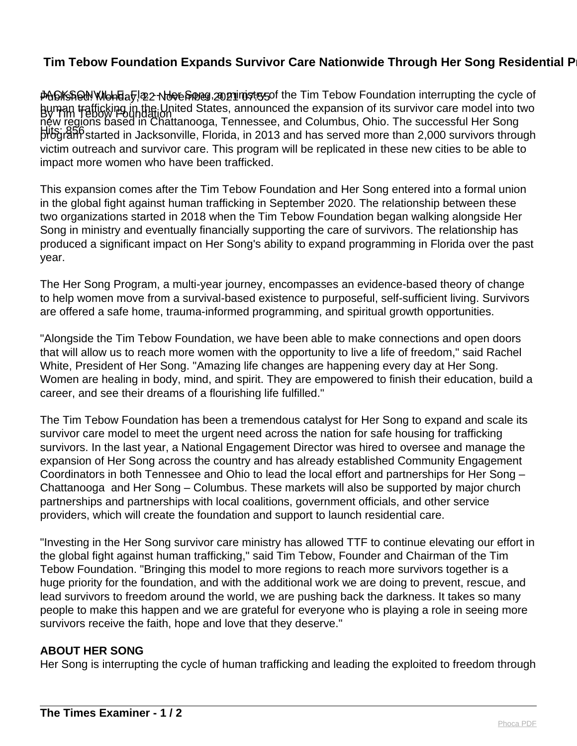## **Tim Tebow Foundation Expands Survivor Care Nationwide Through Her Song Residential P**

Published: Monday, 22 November 2021 07:55 JACKSONVILLE, Fla. -- Her Song, a ministry of the Tim Tebow Foundation interrupting the cycle of By Tim Tebow Foundation human trafficking in the United States, announced the expansion of its survivor care model into two Hits: 856 program started in Jacksonville, Florida, in 2013 and has served more than 2,000 survivors through new regions based in Chattanooga, Tennessee, and Columbus, Ohio. The successful Her Song victim outreach and survivor care. This program will be replicated in these new cities to be able to impact more women who have been trafficked.

This expansion comes after the Tim Tebow Foundation and Her Song entered into a formal union in the global fight against human trafficking in September 2020. The relationship between these two organizations started in 2018 when the Tim Tebow Foundation began walking alongside Her Song in ministry and eventually financially supporting the care of survivors. The relationship has produced a significant impact on Her Song's ability to expand programming in Florida over the past year.

The Her Song Program, a multi-year journey, encompasses an evidence-based theory of change to help women move from a survival-based existence to purposeful, self-sufficient living. Survivors are offered a safe home, trauma-informed programming, and spiritual growth opportunities.

"Alongside the Tim Tebow Foundation, we have been able to make connections and open doors that will allow us to reach more women with the opportunity to live a life of freedom," said Rachel White, President of Her Song. "Amazing life changes are happening every day at Her Song. Women are healing in body, mind, and spirit. They are empowered to finish their education, build a career, and see their dreams of a flourishing life fulfilled."

The Tim Tebow Foundation has been a tremendous catalyst for Her Song to expand and scale its survivor care model to meet the urgent need across the nation for safe housing for trafficking survivors. In the last year, a National Engagement Director was hired to oversee and manage the expansion of Her Song across the country and has already established Community Engagement Coordinators in both Tennessee and Ohio to lead the local effort and partnerships for Her Song – Chattanooga and Her Song – Columbus. These markets will also be supported by major church partnerships and partnerships with local coalitions, government officials, and other service providers, which will create the foundation and support to launch residential care.

"Investing in the Her Song survivor care ministry has allowed TTF to continue elevating our effort in the global fight against human trafficking," said Tim Tebow, Founder and Chairman of the Tim Tebow Foundation. "Bringing this model to more regions to reach more survivors together is a huge priority for the foundation, and with the additional work we are doing to prevent, rescue, and lead survivors to freedom around the world, we are pushing back the darkness. It takes so many people to make this happen and we are grateful for everyone who is playing a role in seeing more survivors receive the faith, hope and love that they deserve."

## **ABOUT HER SONG**

Her Song is interrupting the cycle of human trafficking and leading the exploited to freedom through